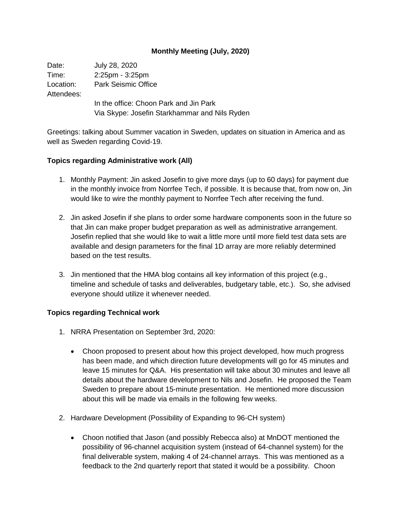## **Monthly Meeting (July, 2020)**

Date: July 28, 2020 Time: 2:25pm - 3:25pm Location: Park Seismic Office Attendees: In the office: Choon Park and Jin Park Via Skype: Josefin Starkhammar and Nils Ryden

Greetings: talking about Summer vacation in Sweden, updates on situation in America and as well as Sweden regarding Covid-19.

## **Topics regarding Administrative work (All)**

- 1. Monthly Payment: Jin asked Josefin to give more days (up to 60 days) for payment due in the monthly invoice from Norrfee Tech, if possible. It is because that, from now on, Jin would like to wire the monthly payment to Norrfee Tech after receiving the fund.
- 2. Jin asked Josefin if she plans to order some hardware components soon in the future so that Jin can make proper budget preparation as well as administrative arrangement. Josefin replied that she would like to wait a little more until more field test data sets are available and design parameters for the final 1D array are more reliably determined based on the test results.
- 3. Jin mentioned that the HMA blog contains all key information of this project (e.g., timeline and schedule of tasks and deliverables, budgetary table, etc.). So, she advised everyone should utilize it whenever needed.

## **Topics regarding Technical work**

- 1. NRRA Presentation on September 3rd, 2020:
	- Choon proposed to present about how this project developed, how much progress has been made, and which direction future developments will go for 45 minutes and leave 15 minutes for Q&A. His presentation will take about 30 minutes and leave all details about the hardware development to Nils and Josefin. He proposed the Team Sweden to prepare about 15-minute presentation. He mentioned more discussion about this will be made via emails in the following few weeks.
- 2. Hardware Development (Possibility of Expanding to 96-CH system)
	- Choon notified that Jason (and possibly Rebecca also) at MnDOT mentioned the possibility of 96-channel acquisition system (instead of 64-channel system) for the final deliverable system, making 4 of 24-channel arrays. This was mentioned as a feedback to the 2nd quarterly report that stated it would be a possibility. Choon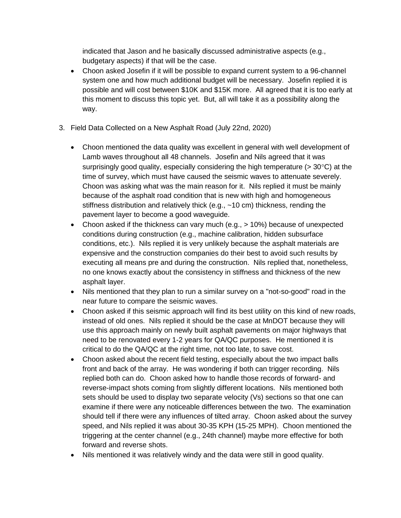indicated that Jason and he basically discussed administrative aspects (e.g., budgetary aspects) if that will be the case.

- Choon asked Josefin if it will be possible to expand current system to a 96-channel system one and how much additional budget will be necessary. Josefin replied it is possible and will cost between \$10K and \$15K more. All agreed that it is too early at this moment to discuss this topic yet. But, all will take it as a possibility along the way.
- 3. Field Data Collected on a New Asphalt Road (July 22nd, 2020)
	- Choon mentioned the data quality was excellent in general with well development of Lamb waves throughout all 48 channels. Josefin and Nils agreed that it was surprisingly good quality, especially considering the high temperature ( $>$  30 $\degree$ C) at the time of survey, which must have caused the seismic waves to attenuate severely. Choon was asking what was the main reason for it. Nils replied it must be mainly because of the asphalt road condition that is new with high and homogeneous stiffness distribution and relatively thick (e.g., ~10 cm) thickness, rending the pavement layer to become a good waveguide.
	- Choon asked if the thickness can vary much (e.g.,  $> 10\%$ ) because of unexpected conditions during construction (e.g., machine calibration, hidden subsurface conditions, etc.). Nils replied it is very unlikely because the asphalt materials are expensive and the construction companies do their best to avoid such results by executing all means pre and during the construction. Nils replied that, nonetheless, no one knows exactly about the consistency in stiffness and thickness of the new asphalt layer.
	- Nils mentioned that they plan to run a similar survey on a "not-so-good" road in the near future to compare the seismic waves.
	- Choon asked if this seismic approach will find its best utility on this kind of new roads, instead of old ones. Nils replied it should be the case at MnDOT because they will use this approach mainly on newly built asphalt pavements on major highways that need to be renovated every 1-2 years for QA/QC purposes. He mentioned it is critical to do the QA/QC at the right time, not too late, to save cost.
	- Choon asked about the recent field testing, especially about the two impact balls front and back of the array. He was wondering if both can trigger recording. Nils replied both can do. Choon asked how to handle those records of forward- and reverse-impact shots coming from slightly different locations. Nils mentioned both sets should be used to display two separate velocity (Vs) sections so that one can examine if there were any noticeable differences between the two. The examination should tell if there were any influences of tilted array. Choon asked about the survey speed, and Nils replied it was about 30-35 KPH (15-25 MPH). Choon mentioned the triggering at the center channel (e.g., 24th channel) maybe more effective for both forward and reverse shots.
	- Nils mentioned it was relatively windy and the data were still in good quality.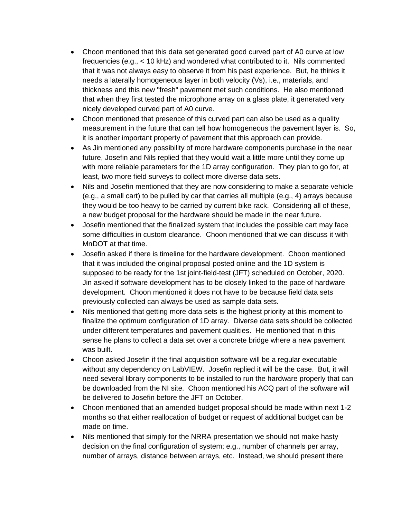- Choon mentioned that this data set generated good curved part of A0 curve at low frequencies (e.g., < 10 kHz) and wondered what contributed to it. Nils commented that it was not always easy to observe it from his past experience. But, he thinks it needs a laterally homogeneous layer in both velocity (Vs), i.e., materials, and thickness and this new "fresh" pavement met such conditions. He also mentioned that when they first tested the microphone array on a glass plate, it generated very nicely developed curved part of A0 curve.
- Choon mentioned that presence of this curved part can also be used as a quality measurement in the future that can tell how homogeneous the pavement layer is. So, it is another important property of pavement that this approach can provide.
- As Jin mentioned any possibility of more hardware components purchase in the near future, Josefin and Nils replied that they would wait a little more until they come up with more reliable parameters for the 1D array configuration. They plan to go for, at least, two more field surveys to collect more diverse data sets.
- Nils and Josefin mentioned that they are now considering to make a separate vehicle (e.g., a small cart) to be pulled by car that carries all multiple (e.g., 4) arrays because they would be too heavy to be carried by current bike rack. Considering all of these, a new budget proposal for the hardware should be made in the near future.
- Josefin mentioned that the finalized system that includes the possible cart may face some difficulties in custom clearance. Choon mentioned that we can discuss it with MnDOT at that time.
- Josefin asked if there is timeline for the hardware development. Choon mentioned that it was included the original proposal posted online and the 1D system is supposed to be ready for the 1st joint-field-test (JFT) scheduled on October, 2020. Jin asked if software development has to be closely linked to the pace of hardware development. Choon mentioned it does not have to be because field data sets previously collected can always be used as sample data sets.
- Nils mentioned that getting more data sets is the highest priority at this moment to finalize the optimum configuration of 1D array. Diverse data sets should be collected under different temperatures and pavement qualities. He mentioned that in this sense he plans to collect a data set over a concrete bridge where a new pavement was built.
- Choon asked Josefin if the final acquisition software will be a regular executable without any dependency on LabVIEW. Josefin replied it will be the case. But, it will need several library components to be installed to run the hardware properly that can be downloaded from the NI site. Choon mentioned his ACQ part of the software will be delivered to Josefin before the JFT on October.
- Choon mentioned that an amended budget proposal should be made within next 1-2 months so that either reallocation of budget or request of additional budget can be made on time.
- Nils mentioned that simply for the NRRA presentation we should not make hasty decision on the final configuration of system; e.g., number of channels per array, number of arrays, distance between arrays, etc. Instead, we should present there